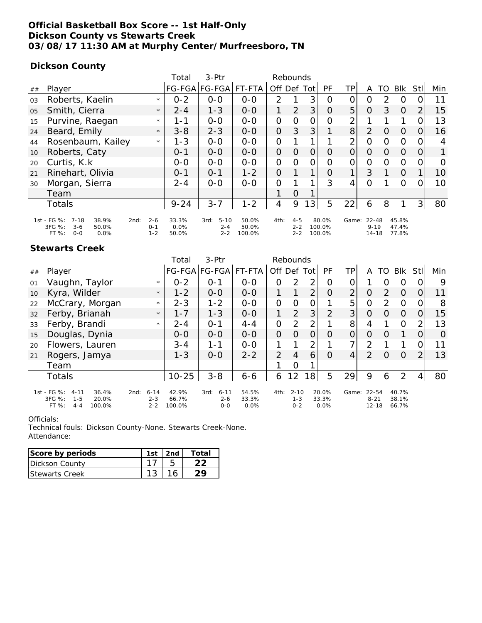## **Official Basketball Box Score -- 1st Half-Only Dickson County vs Stewarts Creek 03/08/17 11:30 AM at Murphy Center/Murfreesboro, TN**

## **Dickson County**

|    |                                                                                                       |                           | Total                     | $3-Ptr$                                | Rebounds                 |                |                               |             |                           |                |                                      |                |                         |                |          |
|----|-------------------------------------------------------------------------------------------------------|---------------------------|---------------------------|----------------------------------------|--------------------------|----------------|-------------------------------|-------------|---------------------------|----------------|--------------------------------------|----------------|-------------------------|----------------|----------|
| ## | Player                                                                                                |                           |                           | FG-FGA FG-FGA FT-FTA                   |                          | Off Def        |                               | Totl        | <b>PF</b>                 | ΤP             | A                                    | TO             | <b>BIK</b>              | Stl            | Min      |
| 03 | Roberts, Kaelin                                                                                       | $\star$                   | $0 - 2$                   | $0 - 0$                                | $0 - 0$                  | $\mathcal{P}$  |                               | 3           | O                         | 0              | O                                    | 2              | O                       |                | 11       |
| 05 | Smith, Cierra                                                                                         | $\star$                   | $2 - 4$                   | $1 - 3$                                | $O-O$                    |                | 2                             | 3           | $\Omega$                  | 5              | $\Omega$                             | 3              | $\Omega$                | 2              | 15       |
| 15 | Purvine, Raegan                                                                                       | $\star$                   | $1 - 1$                   | $O-O$                                  | $O-O$                    | $\Omega$       | $\Omega$                      | $\Omega$    | $\Omega$                  | 2              |                                      |                |                         |                | 13       |
| 24 | Beard, Emily                                                                                          | $\star$                   | $3 - 8$                   | $2 - 3$                                | $0-0$                    | $\Omega$       | 3                             | 3           |                           | 8              | 2                                    | $\overline{O}$ | $\Omega$                | $\Omega$       | 16       |
| 44 | Rosenbaum, Kailey                                                                                     | $\star$                   | $1 - 3$                   | $O-O$                                  | $O-O$                    | 0              | 1                             |             |                           | $\overline{2}$ | $\Omega$                             | $\circ$        | $\Omega$                | $\Omega$       | 4        |
| 10 | Roberts, Caty                                                                                         |                           | $0 - 1$                   | $0 - 0$                                | $0-0$                    | $\overline{O}$ | $\overline{O}$                | $\Omega$    | $\Omega$                  | $\overline{O}$ | $\Omega$                             | $\Omega$       | $\Omega$                | $\overline{O}$ | 1        |
| 20 | Curtis, K.k.                                                                                          |                           | $O-O$                     | $O-O$                                  | $0-0$                    | 0              | $\Omega$                      | $\Omega$    | $\Omega$                  | $\overline{O}$ | $\Omega$                             | $\Omega$       | $\Omega$                | $\Omega$       | $\Omega$ |
| 21 | Rinehart, Olivia                                                                                      |                           | $0 - 1$                   | $0 - 1$                                | $1 - 2$                  | $\Omega$       |                               | 1           | $\Omega$                  | 1              | 3                                    |                | $\Omega$                |                | 10       |
| 30 | Morgan, Sierra                                                                                        |                           | $2 - 4$                   | $O-O$                                  | $0-0$                    | $\overline{O}$ |                               |             | 3                         | 4              | $\Omega$                             |                | $\Omega$                | $\Omega$       | 10       |
|    | Team                                                                                                  |                           |                           |                                        |                          | 1              | $\Omega$                      |             |                           |                |                                      |                |                         |                |          |
|    | Totals                                                                                                |                           | $9 - 24$                  | $3 - 7$                                | $1 - 2$                  | 4              | 9                             | $3^{\circ}$ | 5                         | 22             | 6                                    | 8              |                         | 3              | 80       |
|    | 1st - FG %:<br>38.9%<br>$7 - 18$<br>2nd:<br>3FG %:<br>$3 - 6$<br>50.0%<br>FT %:<br>$O - O$<br>$0.0\%$ | $2 - 6$<br>$0 - 1$<br>1-2 | 33.3%<br>$0.0\%$<br>50.0% | $5 - 10$<br>3rd:<br>$2 - 4$<br>$2 - 2$ | 50.0%<br>50.0%<br>100.0% | 4th:           | $4 - 5$<br>$2 - 2$<br>$2 - 2$ |             | 80.0%<br>100.0%<br>100.0% |                | Game: 22-48<br>$9 - 19$<br>$14 - 18$ |                | 45.8%<br>47.4%<br>77.8% |                |          |

### **Stewarts Creek**

|    |                                                                                            |                                        | Total                    | 3-Ptr                                  |                        |                | Rebounds                       |                |                        |                |                                      |          |                         |                |          |
|----|--------------------------------------------------------------------------------------------|----------------------------------------|--------------------------|----------------------------------------|------------------------|----------------|--------------------------------|----------------|------------------------|----------------|--------------------------------------|----------|-------------------------|----------------|----------|
| ## | Player                                                                                     |                                        |                          | FG-FGA FG-FGA FT-FTA                   |                        |                | Off Def Tot                    |                | PF                     | TΡ             | A                                    | TO       | <b>BIK</b>              | Stl            | Min      |
| 01 | Vaughn, Taylor                                                                             | $\star$                                | $0 - 2$                  | $0 - 1$                                | $O-O$                  | O              | 2                              | 2              | O                      | 0              |                                      | $\circ$  | O                       |                | 9        |
| 10 | Kyra, Wilder                                                                               | $\star$                                | $1 - 2$                  | $0 - 0$                                | $0 - 0$                | 1              | 1                              | 2              | $\overline{O}$         | $\overline{2}$ | $\Omega$                             | 2        | $\Omega$                | $\Omega$       | 11       |
| 22 | McCrary, Morgan                                                                            | $\star$                                | $2 - 3$                  | $1 - 2$                                | $0-0$                  | $\Omega$       | $\Omega$                       | $\Omega$       |                        | 5              | $\Omega$                             | 2        | $\Omega$                | $\Omega$       | 8        |
| 32 | Ferby, Brianah                                                                             | $\star$                                | $1 - 7$                  | $1 - 3$                                | $0-0$                  | 1              | 2                              | 3              | 2                      | 3              | $\Omega$                             | $\Omega$ | $\Omega$                | $\overline{0}$ | 15       |
| 33 | Ferby, Brandi                                                                              | $\star$                                | $2 - 4$                  | $O - 1$                                | $4 - 4$                | $\overline{O}$ | 2                              | 2              |                        | 8              | 4                                    |          | $\Omega$                | 2              | 13       |
| 15 | Douglas, Dynia                                                                             |                                        | $O - O$                  | $O-O$                                  | $O - O$                | $\Omega$       | $\Omega$                       | $\Omega$       | $\overline{O}$         | $\overline{O}$ | $\Omega$                             | $\Omega$ |                         | $\Omega$       | $\Omega$ |
| 20 | Flowers, Lauren                                                                            |                                        | $3 - 4$                  | $1 - 1$                                | $0-0$                  | 1              |                                | $\overline{2}$ |                        | 7              | $\mathcal{P}$                        |          |                         | 0              | 11       |
| 21 | Rogers, Jamya                                                                              |                                        | $1 - 3$                  | $0 - 0$                                | $2 - 2$                | 2              | $\overline{4}$                 | 6              | $\circ$                | $\overline{4}$ | $\mathcal{P}$                        | $\Omega$ | $\Omega$                | 2              | 13       |
|    | Team                                                                                       |                                        |                          |                                        |                        |                | $\circ$                        |                |                        |                |                                      |          |                         |                |          |
|    | Totals                                                                                     |                                        | $10 - 25$                | $3 - 8$                                | 6-6                    | 6              | 12                             | 8              | 5                      | 29             | 9                                    | 6        | 2                       | 4              | 80       |
|    | 1st - FG %:<br>$4 - 11$<br>36.4%<br>3FG %:<br>$1 - 5$<br>20.0%<br>FT%<br>$4 - 4$<br>100.0% | 2nd:<br>$6 - 14$<br>$2 - 3$<br>$2 - 2$ | 42.9%<br>66.7%<br>100.0% | 3rd:<br>$6 - 11$<br>$2 - 6$<br>$0 - 0$ | 54.5%<br>33.3%<br>0.0% | 4th:           | $2 - 10$<br>$1 - 3$<br>$0 - 2$ |                | 20.0%<br>33.3%<br>0.0% |                | Game: 22-54<br>$8 - 21$<br>$12 - 18$ |          | 40.7%<br>38.1%<br>66.7% |                |          |

#### Officials:

Technical fouls: Dickson County-None. Stewarts Creek-None. Attendance:

| Score by periods      | 1st | Total |
|-----------------------|-----|-------|
| Dickson County        |     |       |
| <b>Stewarts Creek</b> |     |       |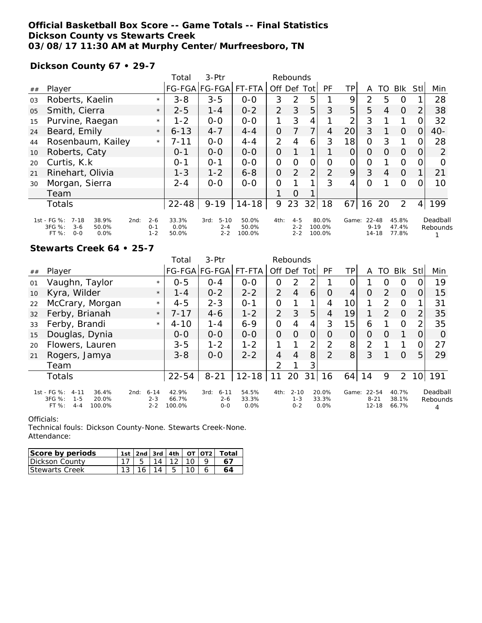## **Official Basketball Box Score -- Game Totals -- Final Statistics Dickson County vs Stewarts Creek 03/08/17 11:30 AM at Murphy Center/Murfreesboro, TN**

**Dickson County 67 • 29-7**

|                |                                                                                                  |                               | Total                  | $3-Ptr$                                | Rebounds                 |                |                               |                |                           |                |                                |          |                         |                |                      |
|----------------|--------------------------------------------------------------------------------------------------|-------------------------------|------------------------|----------------------------------------|--------------------------|----------------|-------------------------------|----------------|---------------------------|----------------|--------------------------------|----------|-------------------------|----------------|----------------------|
| ##             | Player                                                                                           |                               |                        | FG-FGA FG-FGA FT-FTA                   |                          | Off Def        |                               | Tot            | PF                        | ΤP             | A                              | TO       | <b>BIK</b>              | <b>Stl</b>     | Min                  |
| 03             | Roberts, Kaelin                                                                                  | $\star$                       | $3 - 8$                | $3 - 5$                                | $0 - 0$                  | 3              | 2                             | 5              |                           | 9              | 2                              | 5        | $\Omega$                |                | 28                   |
| O <sub>5</sub> | Smith, Cierra                                                                                    | $\star$                       | $2 - 5$                | $1 - 4$                                | $0 - 2$                  | 2              | 3                             | 5              | 3                         | 5 <sub>l</sub> | 5                              | 4        | $\Omega$                | $\overline{2}$ | 38                   |
| 15             | Purvine, Raegan                                                                                  | $\star$                       | $1 - 2$                | $0 - 0$                                | $0-0$                    |                | 3                             | 4              |                           | 2              | 3                              |          | 1                       | $\overline{O}$ | 32                   |
| 24             | Beard, Emily                                                                                     | $\star$                       | $6 - 13$               | $4 - 7$                                | $4 - 4$                  | $\Omega$       |                               |                | 4                         | 20             | 3                              |          | $\Omega$                | $\overline{O}$ | $40-$                |
| 44             | Rosenbaum, Kailey                                                                                | $\star$                       | $7 - 11$               | $0 - 0$                                | $4 - 4$                  | 2              | 4                             | 6              | 3                         | 18             | $\Omega$                       | 3        | 1                       | 0              | 28                   |
| 10             | Roberts, Caty                                                                                    |                               | $0 - 1$                | $0 - 0$                                | $0 - 0$                  | $\overline{O}$ |                               |                |                           | $\Omega$       | $\Omega$                       | $\Omega$ | $\Omega$                | 0              | 2                    |
| 20             | Curtis, K.k.                                                                                     |                               | $0 - 1$                | $O - 1$                                | $0 - 0$                  | $\Omega$       | $\Omega$                      | $\Omega$       | $\Omega$                  | $\overline{O}$ | $\Omega$                       |          | $\Omega$                | 0              | $\Omega$             |
| 21             | Rinehart, Olivia                                                                                 |                               | $1 - 3$                | $1 - 2$                                | $6 - 8$                  | $\Omega$       | 2                             | $\overline{2}$ | 2                         | 9              | 3                              | 4        | $\Omega$                | $\mathbf{1}$   | 21                   |
| 30             | Morgan, Sierra                                                                                   |                               | $2 - 4$                | $0 - 0$                                | $0 - 0$                  | $\Omega$       |                               |                | 3                         | 4              | $\Omega$                       |          | $\Omega$                | 0              | 10                   |
|                | Team                                                                                             |                               |                        |                                        |                          |                | $\Omega$                      |                |                           |                |                                |          |                         |                |                      |
|                | Totals                                                                                           |                               | $22 - 48$              | $9 - 19$                               | $14 - 18$                | 9              | 23                            | 32             | 18                        | 67             | 16                             | 20       | 2                       | 4              | 199                  |
|                | 1st - FG %:<br>$7 - 18$<br>38.9%<br>2nd:<br>3FG %:<br>$3 - 6$<br>50.0%<br>$0 - 0$<br>0.0%<br>FT% | $2 - 6$<br>$O - 1$<br>$1 - 2$ | 33.3%<br>0.0%<br>50.0% | $5 - 10$<br>3rd:<br>$2 - 4$<br>$2 - 2$ | 50.0%<br>50.0%<br>100.0% | 4th:           | $4 - 5$<br>$2 - 2$<br>$2 - 2$ |                | 80.0%<br>100.0%<br>100.0% | Game:          | 22-48<br>$9 - 19$<br>$14 - 18$ |          | 45.8%<br>47.4%<br>77.8% |                | Deadball<br>Rebounds |

**Stewarts Creek 64 • 25-7**

|    |                                                                                              |                                        | Total                    | $3-Ptr$                                | Rebounds               |                |                                |                |                        |                 |                                    |               |                         |                 |                      |
|----|----------------------------------------------------------------------------------------------|----------------------------------------|--------------------------|----------------------------------------|------------------------|----------------|--------------------------------|----------------|------------------------|-----------------|------------------------------------|---------------|-------------------------|-----------------|----------------------|
| ## | Player                                                                                       |                                        |                          | FG-FGA FG-FGA                          | FT-FTA                 | Off Def Tot    |                                |                | PF                     | TP              | A                                  | TO            | <b>Blk</b>              | <b>Stl</b>      | Min                  |
| 01 | Vaughn, Taylor                                                                               | $\star$                                | $0 - 5$                  | $O - 4$                                | $0 - 0$                | 0              | $\mathcal{P}$                  | 2              |                        | 0               |                                    | $\Omega$      | $\Omega$                |                 | 19                   |
| 10 | Kyra, Wilder                                                                                 | $\star$                                | $1 - 4$                  | $0 - 2$                                | $2 - 2$                | 2              | $\overline{4}$                 | 6              | $\Omega$               | 4               | $\Omega$                           | 2             | $\Omega$                | $\Omega$        | 15                   |
| 22 | McCrary, Morgan                                                                              | $\star$                                | $4 - 5$                  | $2 - 3$                                | $O - 1$                | $\overline{O}$ |                                |                | 4                      | 10 <sup>1</sup> |                                    | $\mathcal{P}$ | $\Omega$                |                 | 31                   |
| 32 | Ferby, Brianah                                                                               | $\star$                                | $7 - 17$                 | $4 - 6$                                | $1 - 2$                | 2              | 3                              | 5              | $\overline{4}$         | 19              |                                    | $\mathcal{P}$ | $\Omega$                | 2               | 35                   |
| 33 | Ferby, Brandi                                                                                | $\star$                                | $4 - 10$                 | $1 - 4$                                | $6 - 9$                | 0              | 4                              | 4              | 3                      | 15              | 6                                  |               | $\Omega$                | $\overline{2}$  | 35                   |
| 15 | Douglas, Dynia                                                                               |                                        | $0 - 0$                  | $0-0$                                  | $0-0$                  | 0              | $\Omega$                       | $\overline{O}$ | O                      | 0               | $\Omega$                           | O             |                         | O               | O                    |
| 20 | Flowers, Lauren                                                                              |                                        | $3 - 5$                  | $1 - 2$                                | $1 - 2$                | 1              |                                | 2              | $\overline{2}$         | 8 <sup>1</sup>  | $\overline{2}$                     |               |                         | $\Omega$        | 27                   |
| 21 | Rogers, Jamya                                                                                |                                        | $3 - 8$                  | $0 - 0$                                | $2 - 2$                | $\overline{4}$ | 4                              | 8              | 2                      | 8 <sup>1</sup>  | 3                                  |               | $\Omega$                | 5               | 29                   |
|    | Team                                                                                         |                                        |                          |                                        |                        | $\mathcal{P}$  |                                | 3              |                        |                 |                                    |               |                         |                 |                      |
|    | <b>Totals</b>                                                                                |                                        | $22 - 54$                | $8 - 21$                               | $12 - 18$              | 11             | 20                             | 31             | 16                     | 64              | 14                                 | 9             | 2                       | 10 <sup>1</sup> | 191                  |
|    | 1st - FG %:<br>36.4%<br>$4 - 11$<br>3FG %:<br>$1 - 5$<br>20.0%<br>FT %:<br>100.0%<br>$4 - 4$ | $6 - 14$<br>2nd:<br>$2 - 3$<br>$2 - 2$ | 42.9%<br>66.7%<br>100.0% | $6 - 11$<br>3rd:<br>$2 - 6$<br>$O - O$ | 54.5%<br>33.3%<br>0.0% | 4th:           | $2 - 10$<br>$1 - 3$<br>$0 - 2$ |                | 20.0%<br>33.3%<br>0.0% | Game:           | $22 - 54$<br>$8 - 21$<br>$12 - 18$ |               | 40.7%<br>38.1%<br>66.7% |                 | Deadball<br>Rebounds |

#### Officials:

Technical fouls: Dickson County-None. Stewarts Creek-None. Attendance:

| Score by periods      |  |  | 1st   2nd   3rd   4th   $OT$   $OT2$ | ์ Totai |
|-----------------------|--|--|--------------------------------------|---------|
| TDickson County       |  |  |                                      |         |
| <b>Stewarts Creek</b> |  |  |                                      |         |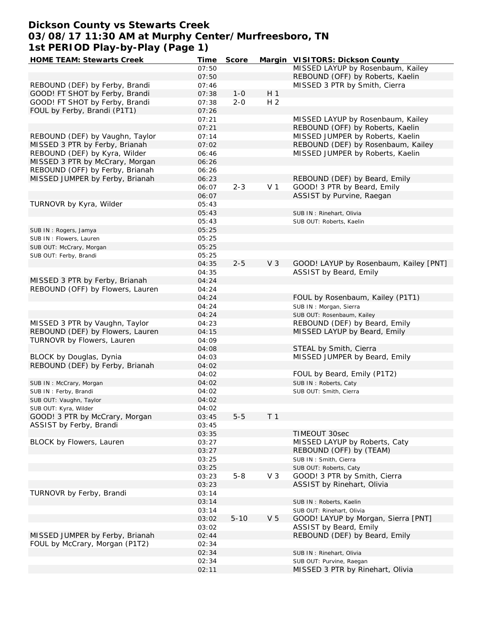## **Dickson County vs Stewarts Creek 03/08/17 11:30 AM at Murphy Center/Murfreesboro, TN 1st PERIOD Play-by-Play (Page 1)**

| HOME TEAM: Stewarts Creek        | Time  | Score    |                | Margin VISITORS: Dickson County        |
|----------------------------------|-------|----------|----------------|----------------------------------------|
|                                  | 07:50 |          |                | MISSED LAYUP by Rosenbaum, Kailey      |
|                                  | 07:50 |          |                | REBOUND (OFF) by Roberts, Kaelin       |
| REBOUND (DEF) by Ferby, Brandi   | 07:46 |          |                | MISSED 3 PTR by Smith, Cierra          |
| GOOD! FT SHOT by Ferby, Brandi   | 07:38 | $1 - 0$  | H 1            |                                        |
| GOOD! FT SHOT by Ferby, Brandi   | 07:38 | $2 - 0$  | H <sub>2</sub> |                                        |
| FOUL by Ferby, Brandi (P1T1)     | 07:26 |          |                |                                        |
|                                  |       |          |                |                                        |
|                                  | 07:21 |          |                | MISSED LAYUP by Rosenbaum, Kailey      |
|                                  | 07:21 |          |                | REBOUND (OFF) by Roberts, Kaelin       |
| REBOUND (DEF) by Vaughn, Taylor  | 07:14 |          |                | MISSED JUMPER by Roberts, Kaelin       |
| MISSED 3 PTR by Ferby, Brianah   | 07:02 |          |                | REBOUND (DEF) by Rosenbaum, Kailey     |
| REBOUND (DEF) by Kyra, Wilder    | 06:46 |          |                | MISSED JUMPER by Roberts, Kaelin       |
| MISSED 3 PTR by McCrary, Morgan  | 06:26 |          |                |                                        |
| REBOUND (OFF) by Ferby, Brianah  | 06:26 |          |                |                                        |
| MISSED JUMPER by Ferby, Brianah  | 06:23 |          |                | REBOUND (DEF) by Beard, Emily          |
|                                  | 06:07 | $2 - 3$  | V <sub>1</sub> | GOOD! 3 PTR by Beard, Emily            |
|                                  | 06:07 |          |                | ASSIST by Purvine, Raegan              |
| TURNOVR by Kyra, Wilder          |       |          |                |                                        |
|                                  | 05:43 |          |                |                                        |
|                                  | 05:43 |          |                | SUB IN: Rinehart, Olivia               |
|                                  | 05:43 |          |                | SUB OUT: Roberts, Kaelin               |
| SUB IN: Rogers, Jamya            | 05:25 |          |                |                                        |
| SUB IN: Flowers, Lauren          | 05:25 |          |                |                                        |
| SUB OUT: McCrary, Morgan         | 05:25 |          |                |                                        |
| SUB OUT: Ferby, Brandi           | 05:25 |          |                |                                        |
|                                  | 04:35 | $2 - 5$  | V <sub>3</sub> | GOOD! LAYUP by Rosenbaum, Kailey [PNT] |
|                                  | 04:35 |          |                | ASSIST by Beard, Emily                 |
| MISSED 3 PTR by Ferby, Brianah   | 04:24 |          |                |                                        |
|                                  |       |          |                |                                        |
| REBOUND (OFF) by Flowers, Lauren | 04:24 |          |                |                                        |
|                                  | 04:24 |          |                | FOUL by Rosenbaum, Kailey (P1T1)       |
|                                  | 04:24 |          |                | SUB IN: Morgan, Sierra                 |
|                                  | 04:24 |          |                | SUB OUT: Rosenbaum, Kailey             |
| MISSED 3 PTR by Vaughn, Taylor   | 04:23 |          |                | REBOUND (DEF) by Beard, Emily          |
| REBOUND (DEF) by Flowers, Lauren | 04:15 |          |                | MISSED LAYUP by Beard, Emily           |
| TURNOVR by Flowers, Lauren       | 04:09 |          |                |                                        |
|                                  | 04:08 |          |                | STEAL by Smith, Cierra                 |
| BLOCK by Douglas, Dynia          | 04:03 |          |                | MISSED JUMPER by Beard, Emily          |
| REBOUND (DEF) by Ferby, Brianah  | 04:02 |          |                |                                        |
|                                  | 04:02 |          |                | FOUL by Beard, Emily (P1T2)            |
|                                  |       |          |                |                                        |
| SUB IN: McCrary, Morgan          | 04:02 |          |                | SUB IN: Roberts, Caty                  |
| SUB IN: Ferby, Brandi            | 04:02 |          |                | SUB OUT: Smith, Cierra                 |
| SUB OUT: Vaughn, Taylor          | 04:02 |          |                |                                        |
| SUB OUT: Kyra, Wilder            | 04:02 |          |                |                                        |
| GOOD! 3 PTR by McCrary, Morgan   | 03:45 | $5 - 5$  | T <sub>1</sub> |                                        |
| ASSIST by Ferby, Brandi          | 03:45 |          |                |                                        |
|                                  | 03:35 |          |                | TIMEOUT 30sec                          |
| BLOCK by Flowers, Lauren         | 03:27 |          |                | MISSED LAYUP by Roberts, Caty          |
|                                  | 03:27 |          |                | REBOUND (OFF) by (TEAM)                |
|                                  | 03:25 |          |                | SUB IN: Smith, Cierra                  |
|                                  |       |          |                |                                        |
|                                  | 03:25 |          |                | SUB OUT: Roberts, Caty                 |
|                                  | 03:23 | $5 - 8$  | V <sub>3</sub> | GOOD! 3 PTR by Smith, Cierra           |
|                                  | 03:23 |          |                | ASSIST by Rinehart, Olivia             |
| TURNOVR by Ferby, Brandi         | 03:14 |          |                |                                        |
|                                  | 03:14 |          |                | SUB IN: Roberts, Kaelin                |
|                                  | 03:14 |          |                | SUB OUT: Rinehart, Olivia              |
|                                  | 03:02 | $5 - 10$ | V <sub>5</sub> | GOOD! LAYUP by Morgan, Sierra [PNT]    |
|                                  | 03:02 |          |                | ASSIST by Beard, Emily                 |
| MISSED JUMPER by Ferby, Brianah  | 02:44 |          |                | REBOUND (DEF) by Beard, Emily          |
| FOUL by McCrary, Morgan (P1T2)   | 02:34 |          |                |                                        |
|                                  |       |          |                |                                        |
|                                  | 02:34 |          |                | SUB IN: Rinehart, Olivia               |
|                                  | 02:34 |          |                | SUB OUT: Purvine, Raegan               |
|                                  | 02:11 |          |                | MISSED 3 PTR by Rinehart, Olivia       |
|                                  |       |          |                |                                        |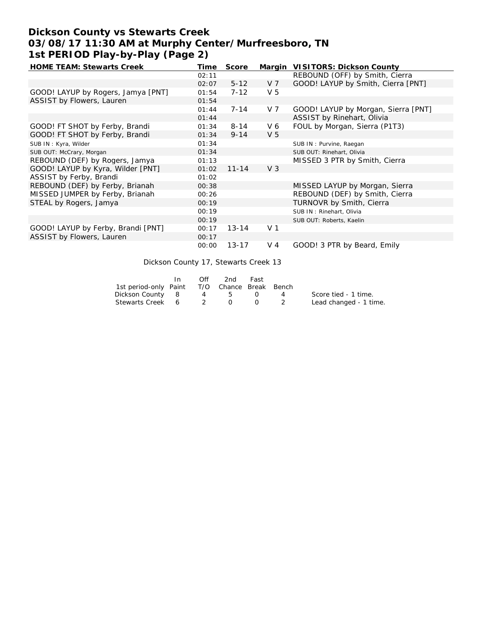# **Dickson County vs Stewarts Creek 03/08/17 11:30 AM at Murphy Center/Murfreesboro, TN 1st PERIOD Play-by-Play (Page 2)**

| <b>HOME TEAM: Stewarts Creek</b>   | Time  | Score     |                | Margin VISITORS: Dickson County     |
|------------------------------------|-------|-----------|----------------|-------------------------------------|
|                                    | 02:11 |           |                | REBOUND (OFF) by Smith, Cierra      |
|                                    | 02:07 | $5 - 12$  | V 7            | GOOD! LAYUP by Smith, Cierra [PNT]  |
| GOOD! LAYUP by Rogers, Jamya [PNT] | 01:54 | $7 - 12$  | V <sub>5</sub> |                                     |
| ASSIST by Flowers, Lauren          | 01:54 |           |                |                                     |
|                                    | 01:44 | $7 - 14$  | V 7            | GOOD! LAYUP by Morgan, Sierra [PNT] |
|                                    | 01:44 |           |                | ASSIST by Rinehart, Olivia          |
| GOOD! FT SHOT by Ferby, Brandi     | 01:34 | $8 - 14$  | V6             | FOUL by Morgan, Sierra (P1T3)       |
| GOOD! FT SHOT by Ferby, Brandi     | 01:34 | $9 - 14$  | V <sub>5</sub> |                                     |
| SUB IN: Kyra, Wilder               | 01:34 |           |                | SUB IN: Purvine, Raegan             |
| SUB OUT: McCrary, Morgan           | 01:34 |           |                | SUB OUT: Rinehart, Olivia           |
| REBOUND (DEF) by Rogers, Jamya     | 01:13 |           |                | MISSED 3 PTR by Smith, Cierra       |
| GOOD! LAYUP by Kyra, Wilder [PNT]  | 01:02 | $11 - 14$ | V <sub>3</sub> |                                     |
| ASSIST by Ferby, Brandi            | 01:02 |           |                |                                     |
| REBOUND (DEF) by Ferby, Brianah    | 00:38 |           |                | MISSED LAYUP by Morgan, Sierra      |
| MISSED JUMPER by Ferby, Brianah    | 00:26 |           |                | REBOUND (DEF) by Smith, Cierra      |
| STEAL by Rogers, Jamya             | 00:19 |           |                | TURNOVR by Smith, Cierra            |
|                                    | 00:19 |           |                | SUB IN: Rinehart, Olivia            |
|                                    | 00:19 |           |                | SUB OUT: Roberts, Kaelin            |
| GOOD! LAYUP by Ferby, Brandi [PNT] | 00:17 | $13 - 14$ | V <sub>1</sub> |                                     |
| ASSIST by Flowers, Lauren          | 00:17 |           |                |                                     |
|                                    | 00:00 | $13 - 17$ | $V_4$          | GOOD! 3 PTR by Beard, Emily         |

Dickson County 17, Stewarts Creek 13

|                                              | Off | 2nd  | Fast |                |                        |
|----------------------------------------------|-----|------|------|----------------|------------------------|
| 1st period-only Paint T/O Chance Break Bench |     |      |      |                |                        |
| Dickson County 8                             |     | $-5$ |      | $\overline{4}$ | Score tied - 1 time.   |
| Stewarts Creek 6                             |     |      |      |                | Lead changed - 1 time. |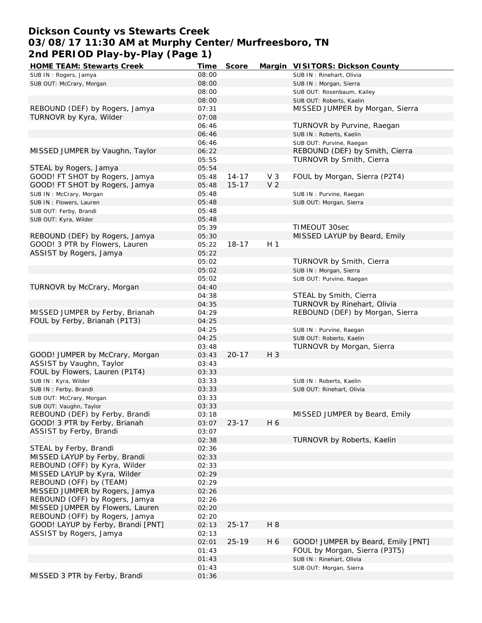# **Dickson County vs Stewarts Creek 03/08/17 11:30 AM at Murphy Center/Murfreesboro, TN 2nd PERIOD Play-by-Play (Page 1)**

| <b>HOME TEAM: Stewarts Creek</b>   | Time  | Score     |                | Margin VISITORS: Dickson County    |
|------------------------------------|-------|-----------|----------------|------------------------------------|
| SUB IN: Rogers, Jamya              | 08:00 |           |                | SUB IN: Rinehart, Olivia           |
| SUB OUT: McCrary, Morgan           | 08:00 |           |                | SUB IN: Morgan, Sierra             |
|                                    | 08:00 |           |                | SUB OUT: Rosenbaum, Kailey         |
|                                    | 08:00 |           |                | SUB OUT: Roberts, Kaelin           |
| REBOUND (DEF) by Rogers, Jamya     | 07:31 |           |                | MISSED JUMPER by Morgan, Sierra    |
| TURNOVR by Kyra, Wilder            | 07:08 |           |                |                                    |
|                                    | 06:46 |           |                | TURNOVR by Purvine, Raegan         |
|                                    | 06:46 |           |                | SUB IN: Roberts, Kaelin            |
|                                    | 06:46 |           |                | SUB OUT: Purvine, Raegan           |
| MISSED JUMPER by Vaughn, Taylor    | 06:22 |           |                | REBOUND (DEF) by Smith, Cierra     |
|                                    | 05:55 |           |                | TURNOVR by Smith, Cierra           |
|                                    |       |           |                |                                    |
| STEAL by Rogers, Jamya             | 05:54 |           |                |                                    |
| GOOD! FT SHOT by Rogers, Jamya     | 05:48 | $14 - 17$ | V <sub>3</sub> | FOUL by Morgan, Sierra (P2T4)      |
| GOOD! FT SHOT by Rogers, Jamya     | 05:48 | $15 - 17$ | V <sub>2</sub> |                                    |
| SUB IN: McCrary, Morgan            | 05:48 |           |                | SUB IN: Purvine, Raegan            |
| SUB IN: Flowers, Lauren            | 05:48 |           |                | SUB OUT: Morgan, Sierra            |
| SUB OUT: Ferby, Brandi             | 05:48 |           |                |                                    |
| SUB OUT: Kyra, Wilder              | 05:48 |           |                |                                    |
|                                    | 05:39 |           |                | TIMEOUT 30sec                      |
| REBOUND (DEF) by Rogers, Jamya     | 05:30 |           |                | MISSED LAYUP by Beard, Emily       |
| GOOD! 3 PTR by Flowers, Lauren     | 05:22 | $18 - 17$ | H <sub>1</sub> |                                    |
| ASSIST by Rogers, Jamya            | 05:22 |           |                |                                    |
|                                    | 05:02 |           |                | TURNOVR by Smith, Cierra           |
|                                    | 05:02 |           |                | SUB IN: Morgan, Sierra             |
|                                    | 05:02 |           |                | SUB OUT: Purvine, Raegan           |
| TURNOVR by McCrary, Morgan         | 04:40 |           |                |                                    |
|                                    | 04:38 |           |                | STEAL by Smith, Cierra             |
|                                    | 04:35 |           |                | TURNOVR by Rinehart, Olivia        |
| MISSED JUMPER by Ferby, Brianah    | 04:29 |           |                | REBOUND (DEF) by Morgan, Sierra    |
| FOUL by Ferby, Brianah (P1T3)      | 04:25 |           |                |                                    |
|                                    | 04:25 |           |                | SUB IN: Purvine, Raegan            |
|                                    | 04:25 |           |                | SUB OUT: Roberts, Kaelin           |
|                                    | 03:48 |           |                | <b>TURNOVR by Morgan, Sierra</b>   |
| GOOD! JUMPER by McCrary, Morgan    | 03:43 | $20 - 17$ | H 3            |                                    |
|                                    |       |           |                |                                    |
| ASSIST by Vaughn, Taylor           | 03:43 |           |                |                                    |
| FOUL by Flowers, Lauren (P1T4)     | 03:33 |           |                |                                    |
| SUB IN: Kyra, Wilder               | 03:33 |           |                | SUB IN: Roberts, Kaelin            |
| SUB IN: Ferby, Brandi              | 03:33 |           |                | SUB OUT: Rinehart, Olivia          |
| SUB OUT: McCrary, Morgan           | 03:33 |           |                |                                    |
| SUB OUT: Vaughn, Taylor            | 03:33 |           |                |                                    |
| REBOUND (DEF) by Ferby, Brandi     | 03:18 |           |                | MISSED JUMPER by Beard, Emily      |
| GOOD! 3 PTR by Ferby, Brianah      | 03:07 | $23 - 17$ | H 6            |                                    |
| ASSIST by Ferby, Brandi            | 03:07 |           |                |                                    |
|                                    | 02:38 |           |                | TURNOVR by Roberts, Kaelin         |
| STEAL by Ferby, Brandi             | 02:36 |           |                |                                    |
| MISSED LAYUP by Ferby, Brandi      | 02:33 |           |                |                                    |
| REBOUND (OFF) by Kyra, Wilder      | 02:33 |           |                |                                    |
| MISSED LAYUP by Kyra, Wilder       | 02:29 |           |                |                                    |
| REBOUND (OFF) by (TEAM)            | 02:29 |           |                |                                    |
| MISSED JUMPER by Rogers, Jamya     | 02:26 |           |                |                                    |
| REBOUND (OFF) by Rogers, Jamya     | 02:26 |           |                |                                    |
| MISSED JUMPER by Flowers, Lauren   | 02:20 |           |                |                                    |
| REBOUND (OFF) by Rogers, Jamya     | 02:20 |           |                |                                    |
| GOOD! LAYUP by Ferby, Brandi [PNT] | 02:13 | $25 - 17$ | H 8            |                                    |
| ASSIST by Rogers, Jamya            | 02:13 |           |                |                                    |
|                                    | 02:01 | $25 - 19$ | H 6            | GOOD! JUMPER by Beard, Emily [PNT] |
|                                    | 01:43 |           |                | FOUL by Morgan, Sierra (P3T5)      |
|                                    | 01:43 |           |                | SUB IN: Rinehart, Olivia           |
|                                    | 01:43 |           |                | SUB OUT: Morgan, Sierra            |
| MISSED 3 PTR by Ferby, Brandi      | 01:36 |           |                |                                    |
|                                    |       |           |                |                                    |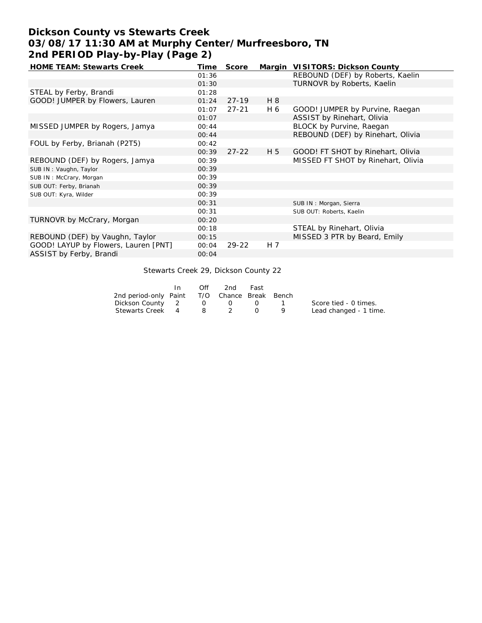# **Dickson County vs Stewarts Creek 03/08/17 11:30 AM at Murphy Center/Murfreesboro, TN 2nd PERIOD Play-by-Play (Page 2)**

| <b>HOME TEAM: Stewarts Creek</b>     | Time  | Score     |     | Margin VISITORS: Dickson County    |
|--------------------------------------|-------|-----------|-----|------------------------------------|
|                                      | 01:36 |           |     | REBOUND (DEF) by Roberts, Kaelin   |
|                                      | 01:30 |           |     | TURNOVR by Roberts, Kaelin         |
| STEAL by Ferby, Brandi               | 01:28 |           |     |                                    |
| GOOD! JUMPER by Flowers, Lauren      | 01:24 | $27-19$   | H 8 |                                    |
|                                      | 01:07 | $27 - 21$ | H 6 | GOOD! JUMPER by Purvine, Raegan    |
|                                      | 01:07 |           |     | ASSIST by Rinehart, Olivia         |
| MISSED JUMPER by Rogers, Jamya       | 00:44 |           |     | BLOCK by Purvine, Raegan           |
|                                      | 00:44 |           |     | REBOUND (DEF) by Rinehart, Olivia  |
| FOUL by Ferby, Brianah (P2T5)        | 00:42 |           |     |                                    |
|                                      | 00:39 | $27 - 22$ | H 5 | GOOD! FT SHOT by Rinehart, Olivia  |
| REBOUND (DEF) by Rogers, Jamya       | 00:39 |           |     | MISSED FT SHOT by Rinehart, Olivia |
| SUB IN: Vaughn, Taylor               | 00:39 |           |     |                                    |
| SUB IN: McCrary, Morgan              | 00:39 |           |     |                                    |
| SUB OUT: Ferby, Brianah              | 00:39 |           |     |                                    |
| SUB OUT: Kyra, Wilder                | 00:39 |           |     |                                    |
|                                      | 00:31 |           |     | SUB IN: Morgan, Sierra             |
|                                      | 00:31 |           |     | SUB OUT: Roberts, Kaelin           |
| TURNOVR by McCrary, Morgan           | 00:20 |           |     |                                    |
|                                      | 00:18 |           |     | STEAL by Rinehart, Olivia          |
| REBOUND (DEF) by Vaughn, Taylor      | 00:15 |           |     | MISSED 3 PTR by Beard, Emily       |
| GOOD! LAYUP by Flowers, Lauren [PNT] | 00:04 | $29 - 22$ | H 7 |                                    |
| ASSIST by Ferby, Brandi              | 00:04 |           |     |                                    |

### Stewarts Creek 29, Dickson County 22

|                                              | In | Off           | 2nd          | Fast |      |                        |
|----------------------------------------------|----|---------------|--------------|------|------|------------------------|
| 2nd period-only Paint T/O Chance Break Bench |    |               |              |      |      |                        |
| Dickson County 2                             |    | <sup>()</sup> | $\mathbf{0}$ |      | - 13 | Score tied - 0 times.  |
| Stewarts Creek 4                             |    | 8.            |              |      |      | Lead changed - 1 time. |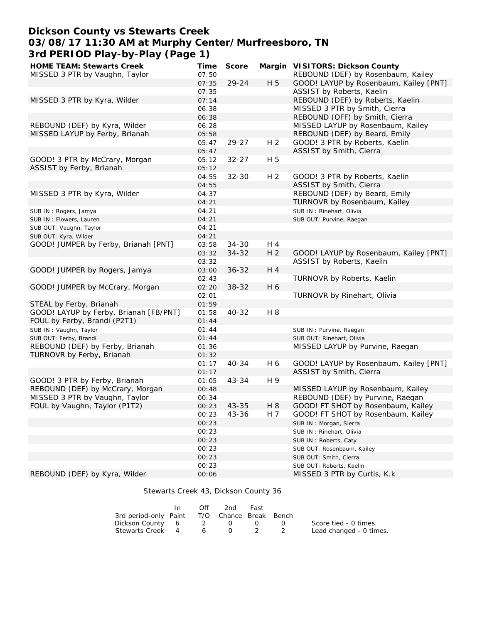# **Dickson County vs Stewarts Creek 03/08/17 11:30 AM at Murphy Center/Murfreesboro, TN 3rd PERIOD Play-by-Play (Page 1)**

| <b>HOME TEAM: Stewarts Creek</b>       | Time  | Score     |                | Margin VISITORS: Dickson County        |
|----------------------------------------|-------|-----------|----------------|----------------------------------------|
| MISSED 3 PTR by Vaughn, Taylor         | 07:50 |           |                | REBOUND (DEF) by Rosenbaum, Kailey     |
|                                        | 07:35 | 29-24     | H 5            | GOOD! LAYUP by Rosenbaum, Kailey [PNT] |
|                                        | 07:35 |           |                | ASSIST by Roberts, Kaelin              |
| MISSED 3 PTR by Kyra, Wilder           | 07:14 |           |                | REBOUND (DEF) by Roberts, Kaelin       |
|                                        | 06:38 |           |                | MISSED 3 PTR by Smith, Cierra          |
|                                        | 06:38 |           |                | REBOUND (OFF) by Smith, Cierra         |
| REBOUND (DEF) by Kyra, Wilder          | 06:28 |           |                | MISSED LAYUP by Rosenbaum, Kailey      |
| MISSED LAYUP by Ferby, Brianah         | 05:58 |           |                | REBOUND (DEF) by Beard, Emily          |
|                                        | 05:47 | 29-27     | H <sub>2</sub> | GOOD! 3 PTR by Roberts, Kaelin         |
|                                        | 05:47 |           |                | ASSIST by Smith, Cierra                |
| GOOD! 3 PTR by McCrary, Morgan         | 05:12 | $32 - 27$ | H 5            |                                        |
| ASSIST by Ferby, Brianah               | 05:12 |           |                |                                        |
|                                        | 04:55 | $32 - 30$ | H <sub>2</sub> | GOOD! 3 PTR by Roberts, Kaelin         |
|                                        | 04:55 |           |                | ASSIST by Smith, Cierra                |
| MISSED 3 PTR by Kyra, Wilder           | 04:37 |           |                | REBOUND (DEF) by Beard, Emily          |
|                                        | 04:21 |           |                | TURNOVR by Rosenbaum, Kailey           |
| SUB IN: Rogers, Jamya                  | 04:21 |           |                | SUB IN: Rinehart, Olivia               |
| SUB IN: Flowers, Lauren                | 04:21 |           |                | SUB OUT: Purvine, Raegan               |
| SUB OUT: Vaughn, Taylor                | 04:21 |           |                |                                        |
| SUB OUT: Kyra, Wilder                  | 04:21 |           |                |                                        |
| GOOD! JUMPER by Ferby, Brianah [PNT]   | 03:58 | $34 - 30$ | H 4            |                                        |
|                                        | 03:32 | $34 - 32$ | H <sub>2</sub> | GOOD! LAYUP by Rosenbaum, Kailey [PNT] |
|                                        | 03:32 |           |                | ASSIST by Roberts, Kaelin              |
| GOOD! JUMPER by Rogers, Jamya          | 03:00 | $36 - 32$ | H 4            |                                        |
|                                        | 02:43 |           |                | TURNOVR by Roberts, Kaelin             |
| GOOD! JUMPER by McCrary, Morgan        | 02:20 | 38-32     | H 6            |                                        |
|                                        | 02:01 |           |                | TURNOVR by Rinehart, Olivia            |
| STEAL by Ferby, Brianah                | 01:59 |           |                |                                        |
| GOOD! LAYUP by Ferby, Brianah [FB/PNT] | 01:58 | $40 - 32$ | H 8            |                                        |
| FOUL by Ferby, Brandi (P2T1)           | 01:44 |           |                |                                        |
| SUB IN: Vaughn, Taylor                 | 01:44 |           |                | SUB IN: Purvine, Raegan                |
| SUB OUT: Ferby, Brandi                 | 01:44 |           |                | SUB OUT: Rinehart, Olivia              |
| REBOUND (DEF) by Ferby, Brianah        | 01:36 |           |                | MISSED LAYUP by Purvine, Raegan        |
| TURNOVR by Ferby, Brianah              | 01:32 |           |                |                                        |
|                                        | 01:17 | 40-34     | H 6            | GOOD! LAYUP by Rosenbaum, Kailey [PNT] |
|                                        | 01:17 |           |                | ASSIST by Smith, Cierra                |
| GOOD! 3 PTR by Ferby, Brianah          | 01:05 | $43 - 34$ | H 9            |                                        |
| REBOUND (DEF) by McCrary, Morgan       | 00:48 |           |                | MISSED LAYUP by Rosenbaum, Kailey      |
| MISSED 3 PTR by Vaughn, Taylor         | 00:34 |           |                | REBOUND (DEF) by Purvine, Raegan       |
| FOUL by Vaughn, Taylor (P1T2)          | 00:23 | $43 - 35$ | H 8            | GOOD! FT SHOT by Rosenbaum, Kailey     |
|                                        |       | 43-36     | H 7            | GOOD! FT SHOT by Rosenbaum, Kailey     |
|                                        | 00:23 |           |                |                                        |
|                                        | 00:23 |           |                | SUB IN: Morgan, Sierra                 |
|                                        | 00:23 |           |                | SUB IN: Rinehart, Olivia               |
|                                        | 00:23 |           |                | SUB IN: Roberts, Caty                  |
|                                        | 00:23 |           |                | SUB OUT: Rosenbaum, Kailey             |
|                                        | 00:23 |           |                | SUB OUT: Smith, Cierra                 |
|                                        | 00:23 |           |                | SUB OUT: Roberts, Kaelin               |
| REBOUND (DEF) by Kyra, Wilder          | 00:06 |           |                | MISSED 3 PTR by Curtis, K.k.           |

### Stewarts Creek 43, Dickson County 36

|                                              | In. | ∩ff | 2nd      | Fast |                         |
|----------------------------------------------|-----|-----|----------|------|-------------------------|
| 3rd period-only Paint T/O Chance Break Bench |     |     |          |      |                         |
| Dickson County 6 2 0                         |     |     |          |      | Score tied - 0 times.   |
| Stewarts Creek 4                             |     | 6.  | $\Omega$ |      | Lead changed - 0 times. |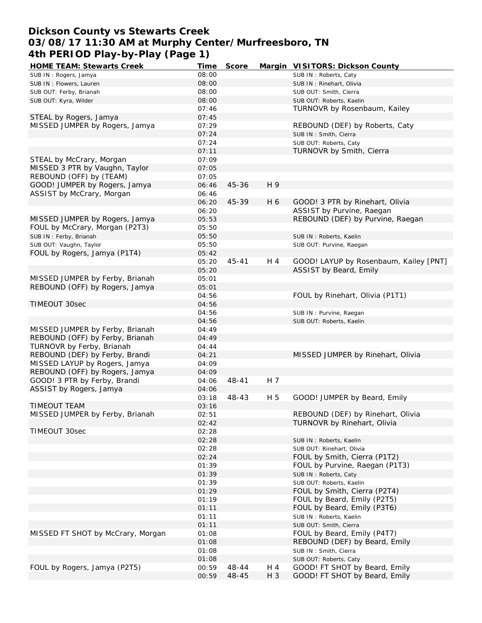# **Dickson County vs Stewarts Creek 03/08/17 11:30 AM at Murphy Center/Murfreesboro, TN 4th PERIOD Play-by-Play (Page 1)**

| <b>HOME TEAM: Stewarts Creek</b>  | Time  | Score     |       | Margin VISITORS: Dickson County        |
|-----------------------------------|-------|-----------|-------|----------------------------------------|
| SUB IN: Rogers, Jamya             | 08:00 |           |       | SUB IN: Roberts, Caty                  |
| SUB IN: Flowers, Lauren           | 08:00 |           |       | SUB IN: Rinehart, Olivia               |
| SUB OUT: Ferby, Brianah           | 08:00 |           |       | SUB OUT: Smith, Cierra                 |
| SUB OUT: Kyra, Wilder             | 08:00 |           |       | SUB OUT: Roberts, Kaelin               |
|                                   | 07:46 |           |       | TURNOVR by Rosenbaum, Kailey           |
| STEAL by Rogers, Jamya            | 07:45 |           |       |                                        |
| MISSED JUMPER by Rogers, Jamya    | 07:29 |           |       | REBOUND (DEF) by Roberts, Caty         |
|                                   | 07:24 |           |       | SUB IN: Smith, Cierra                  |
|                                   | 07:24 |           |       | SUB OUT: Roberts, Caty                 |
|                                   | 07:11 |           |       | TURNOVR by Smith, Cierra               |
| STEAL by McCrary, Morgan          | 07:09 |           |       |                                        |
| MISSED 3 PTR by Vaughn, Taylor    |       |           |       |                                        |
|                                   | 07:05 |           |       |                                        |
| REBOUND (OFF) by (TEAM)           | 07:05 |           |       |                                        |
| GOOD! JUMPER by Rogers, Jamya     | 06:46 | 45-36     | H 9   |                                        |
| ASSIST by McCrary, Morgan         | 06:46 |           |       |                                        |
|                                   | 06:20 | 45-39     | H 6   | GOOD! 3 PTR by Rinehart, Olivia        |
|                                   | 06:20 |           |       | ASSIST by Purvine, Raegan              |
| MISSED JUMPER by Rogers, Jamya    | 05:53 |           |       | REBOUND (DEF) by Purvine, Raegan       |
| FOUL by McCrary, Morgan (P2T3)    | 05:50 |           |       |                                        |
| SUB IN: Ferby, Brianah            | 05:50 |           |       | SUB IN: Roberts, Kaelin                |
| SUB OUT: Vaughn, Taylor           | 05:50 |           |       | SUB OUT: Purvine, Raegan               |
| FOUL by Rogers, Jamya (P1T4)      | 05:42 |           |       |                                        |
|                                   | 05:20 | 45-41     | H 4   | GOOD! LAYUP by Rosenbaum, Kailey [PNT] |
|                                   | 05:20 |           |       | ASSIST by Beard, Emily                 |
| MISSED JUMPER by Ferby, Brianah   | 05:01 |           |       |                                        |
| REBOUND (OFF) by Rogers, Jamya    | 05:01 |           |       |                                        |
|                                   | 04:56 |           |       | FOUL by Rinehart, Olivia (P1T1)        |
| TIMEOUT 30sec                     | 04:56 |           |       |                                        |
|                                   | 04:56 |           |       | SUB IN: Purvine, Raegan                |
|                                   | 04:56 |           |       | SUB OUT: Roberts, Kaelin               |
| MISSED JUMPER by Ferby, Brianah   | 04:49 |           |       |                                        |
| REBOUND (OFF) by Ferby, Brianah   | 04:49 |           |       |                                        |
| TURNOVR by Ferby, Brianah         | 04:44 |           |       |                                        |
| REBOUND (DEF) by Ferby, Brandi    | 04:21 |           |       | MISSED JUMPER by Rinehart, Olivia      |
|                                   |       |           |       |                                        |
| MISSED LAYUP by Rogers, Jamya     | 04:09 |           |       |                                        |
| REBOUND (OFF) by Rogers, Jamya    | 04:09 |           |       |                                        |
| GOOD! 3 PTR by Ferby, Brandi      | 04:06 | $48 - 41$ | H 7   |                                        |
| ASSIST by Rogers, Jamya           | 04:06 |           |       |                                        |
|                                   | 03:18 | 48-43     | H 5   | GOOD! JUMPER by Beard, Emily           |
| <b>TIMEOUT TEAM</b>               | 03:16 |           |       |                                        |
| MISSED JUMPER by Ferby, Brianah   | 02:51 |           |       | REBOUND (DEF) by Rinehart, Olivia      |
|                                   | 02:42 |           |       | TURNOVR by Rinehart, Olivia            |
| TIMEOUT 30sec                     | 02:28 |           |       |                                        |
|                                   | 02:28 |           |       | SUB IN: Roberts, Kaelin                |
|                                   | 02:28 |           |       | SUB OUT: Rinehart, Olivia              |
|                                   | 02:24 |           |       | FOUL by Smith, Cierra (P1T2)           |
|                                   | 01:39 |           |       | FOUL by Purvine, Raegan (P1T3)         |
|                                   | 01:39 |           |       | SUB IN: Roberts, Caty                  |
|                                   | 01:39 |           |       | SUB OUT: Roberts, Kaelin               |
|                                   | 01:29 |           |       | FOUL by Smith, Cierra (P2T4)           |
|                                   | 01:19 |           |       | FOUL by Beard, Emily (P2T5)            |
|                                   | 01:11 |           |       | FOUL by Beard, Emily (P3T6)            |
|                                   | 01:11 |           |       | SUB IN: Roberts, Kaelin                |
|                                   | 01:11 |           |       | SUB OUT: Smith, Cierra                 |
| MISSED FT SHOT by McCrary, Morgan | 01:08 |           |       | FOUL by Beard, Emily (P4T7)            |
|                                   | 01:08 |           |       | REBOUND (DEF) by Beard, Emily          |
|                                   | 01:08 |           |       | SUB IN: Smith, Cierra                  |
|                                   | 01:08 |           |       | SUB OUT: Roberts, Caty                 |
| FOUL by Rogers, Jamya (P2T5)      | 00:59 | 48-44     | H 4   | GOOD! FT SHOT by Beard, Emily          |
|                                   |       | 48-45     | $H_3$ | GOOD! FT SHOT by Beard, Emily          |
|                                   | 00:59 |           |       |                                        |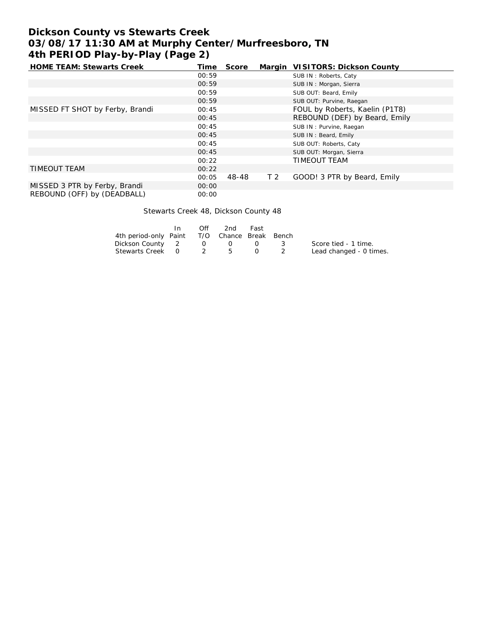# **Dickson County vs Stewarts Creek 03/08/17 11:30 AM at Murphy Center/Murfreesboro, TN 4th PERIOD Play-by-Play (Page 2)**

| <b>HOME TEAM: Stewarts Creek</b> | Time  | Score |                | Margin VISITORS: Dickson County |
|----------------------------------|-------|-------|----------------|---------------------------------|
|                                  | 00:59 |       |                | SUB IN: Roberts, Caty           |
|                                  | 00:59 |       |                | SUB IN: Morgan, Sierra          |
|                                  | 00:59 |       |                | SUB OUT: Beard, Emily           |
|                                  | 00:59 |       |                | SUB OUT: Purvine, Raegan        |
| MISSED FT SHOT by Ferby, Brandi  | 00:45 |       |                | FOUL by Roberts, Kaelin (P1T8)  |
|                                  | 00:45 |       |                | REBOUND (DEF) by Beard, Emily   |
|                                  | 00:45 |       |                | SUB IN: Purvine, Raegan         |
|                                  | 00:45 |       |                | SUB IN: Beard, Emily            |
|                                  | 00:45 |       |                | SUB OUT: Roberts, Caty          |
|                                  | 00:45 |       |                | SUB OUT: Morgan, Sierra         |
|                                  | 00:22 |       |                | TIMEOUT TEAM                    |
| <b>TIMEOUT TEAM</b>              | 00:22 |       |                |                                 |
|                                  | 00:05 | 48-48 | T <sub>2</sub> | GOOD! 3 PTR by Beard, Emily     |
| MISSED 3 PTR by Ferby, Brandi    | 00:00 |       |                |                                 |
| REBOUND (OFF) by (DEADBALL)      | 00:00 |       |                |                                 |

Stewarts Creek 48, Dickson County 48

|                                              | Off              | 2nd               | Fast |                         |
|----------------------------------------------|------------------|-------------------|------|-------------------------|
| 4th period-only Paint T/O Chance Break Bench |                  |                   |      |                         |
| Dickson County 2                             |                  | $\Omega$ $\Omega$ |      | Score tied - 1 time.    |
| Stewarts Creek 0                             | $\overline{2}$ b |                   |      | Lead changed - 0 times. |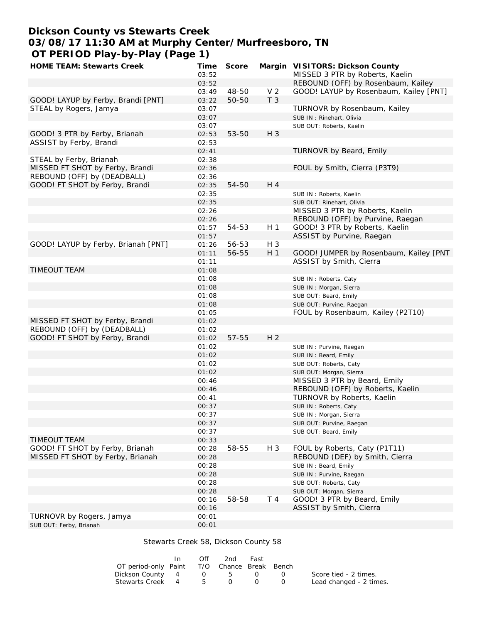# **Dickson County vs Stewarts Creek 03/08/17 11:30 AM at Murphy Center/Murfreesboro, TN OT PERIOD Play-by-Play (Page 1)**

| HOME TEAM: Stewarts Creek           | Time  | Score |                | Margin VISITORS: Dickson County        |
|-------------------------------------|-------|-------|----------------|----------------------------------------|
|                                     | 03:52 |       |                | MISSED 3 PTR by Roberts, Kaelin        |
|                                     | 03:52 |       |                | REBOUND (OFF) by Rosenbaum, Kailey     |
|                                     | 03:49 | 48-50 | V <sub>2</sub> | GOOD! LAYUP by Rosenbaum, Kailey [PNT] |
| GOOD! LAYUP by Ferby, Brandi [PNT]  | 03:22 | 50-50 | T <sub>3</sub> |                                        |
| STEAL by Rogers, Jamya              | 03:07 |       |                | TURNOVR by Rosenbaum, Kailey           |
|                                     | 03:07 |       |                | SUB IN: Rinehart, Olivia               |
|                                     | 03:07 |       |                | SUB OUT: Roberts, Kaelin               |
| GOOD! 3 PTR by Ferby, Brianah       | 02:53 | 53-50 | $H_3$          |                                        |
| ASSIST by Ferby, Brandi             | 02:53 |       |                |                                        |
|                                     | 02:41 |       |                | TURNOVR by Beard, Emily                |
| STEAL by Ferby, Brianah             | 02:38 |       |                |                                        |
| MISSED FT SHOT by Ferby, Brandi     | 02:36 |       |                | FOUL by Smith, Cierra (P3T9)           |
| REBOUND (OFF) by (DEADBALL)         |       |       |                |                                        |
|                                     | 02:36 |       | H 4            |                                        |
| GOOD! FT SHOT by Ferby, Brandi      | 02:35 | 54-50 |                |                                        |
|                                     | 02:35 |       |                | SUB IN: Roberts, Kaelin                |
|                                     | 02:35 |       |                | SUB OUT: Rinehart, Olivia              |
|                                     | 02:26 |       |                | MISSED 3 PTR by Roberts, Kaelin        |
|                                     | 02:26 |       |                | REBOUND (OFF) by Purvine, Raegan       |
|                                     | 01:57 | 54-53 | H <sub>1</sub> | GOOD! 3 PTR by Roberts, Kaelin         |
|                                     | 01:57 |       |                | ASSIST by Purvine, Raegan              |
| GOOD! LAYUP by Ferby, Brianah [PNT] | 01:26 | 56-53 | H 3            |                                        |
|                                     | 01:11 | 56-55 | H <sub>1</sub> | GOOD! JUMPER by Rosenbaum, Kailey [PNT |
|                                     | 01:11 |       |                | ASSIST by Smith, Cierra                |
| TIMEOUT TEAM                        | 01:08 |       |                |                                        |
|                                     | 01:08 |       |                | SUB IN: Roberts, Caty                  |
|                                     | 01:08 |       |                | SUB IN: Morgan, Sierra                 |
|                                     | 01:08 |       |                | SUB OUT: Beard, Emily                  |
|                                     | 01:08 |       |                | SUB OUT: Purvine, Raegan               |
|                                     | 01:05 |       |                | FOUL by Rosenbaum, Kailey (P2T10)      |
| MISSED FT SHOT by Ferby, Brandi     | 01:02 |       |                |                                        |
| REBOUND (OFF) by (DEADBALL)         | 01:02 |       |                |                                        |
| GOOD! FT SHOT by Ferby, Brandi      | 01:02 | 57-55 | H <sub>2</sub> |                                        |
|                                     | 01:02 |       |                | SUB IN: Purvine, Raegan                |
|                                     | 01:02 |       |                | SUB IN: Beard, Emily                   |
|                                     | 01:02 |       |                | SUB OUT: Roberts, Caty                 |
|                                     | 01:02 |       |                | SUB OUT: Morgan, Sierra                |
|                                     | 00:46 |       |                | MISSED 3 PTR by Beard, Emily           |
|                                     | 00:46 |       |                | REBOUND (OFF) by Roberts, Kaelin       |
|                                     | 00:41 |       |                | TURNOVR by Roberts, Kaelin             |
|                                     | 00:37 |       |                |                                        |
|                                     | 00:37 |       |                | SUB IN: Roberts, Caty                  |
|                                     |       |       |                | SUB IN: Morgan, Sierra                 |
|                                     | 00:37 |       |                | SUB OUT: Purvine, Raegan               |
|                                     | 00:37 |       |                | SUB OUT: Beard, Emily                  |
| TIMEOUT TEAM                        | 00:33 |       |                |                                        |
| GOOD! FT SHOT by Ferby, Brianah     | 00:28 | 58-55 | $H_3$          | FOUL by Roberts, Caty (P1T11)          |
| MISSED FT SHOT by Ferby, Brianah    | 00:28 |       |                | REBOUND (DEF) by Smith, Cierra         |
|                                     | 00:28 |       |                | SUB IN: Beard, Emily                   |
|                                     | 00:28 |       |                | SUB IN: Purvine, Raegan                |
|                                     | 00:28 |       |                | SUB OUT: Roberts, Caty                 |
|                                     | 00:28 |       |                | SUB OUT: Morgan, Sierra                |
|                                     | 00:16 | 58-58 | T 4            | GOOD! 3 PTR by Beard, Emily            |
|                                     | 00:16 |       |                | ASSIST by Smith, Cierra                |
| TURNOVR by Rogers, Jamya            | 00:01 |       |                |                                        |
| SUB OUT: Ferby, Brianah             | 00:01 |       |                |                                        |

### Stewarts Creek 58, Dickson County 58

|                                             | In In | Off | 2nd | Fast |            |                         |
|---------------------------------------------|-------|-----|-----|------|------------|-------------------------|
| OT period-only Paint T/O Chance Break Bench |       |     |     |      |            |                         |
| Dickson County 4 0 5                        |       |     |     |      | $\sqrt{1}$ | Score tied - 2 times.   |
| Stewarts Creek 4 5                          |       |     | ()  |      |            | Lead changed - 2 times. |